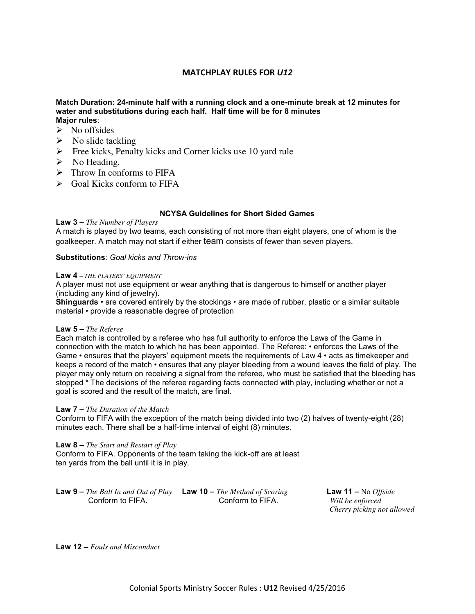# **MATCHPLAY RULES FOR** *U12*

### **Match Duration: 24-minute half with a running clock and a one-minute break at 12 minutes for water and substitutions during each half. Half time will be for 8 minutes Major rules**:

- $\triangleright$  No offsides
- $\triangleright$  No slide tackling
- $\triangleright$  Free kicks, Penalty kicks and Corner kicks use 10 yard rule
- $\triangleright$  No Heading.
- $\triangleright$  Throw In conforms to FIFA
- $\triangleright$  Goal Kicks conform to FIFA

# **NCYSA Guidelines for Short Sided Games**

### **Law 3 –** *The Number of Players*

A match is played by two teams, each consisting of not more than eight players, one of whom is the goalkeeper. A match may not start if either team consists of fewer than seven players.

### **Substitutions***: Goal kicks and Throw-ins*

#### **Law 4** *– THE PLAYERS' EQUIPMENT*

A player must not use equipment or wear anything that is dangerous to himself or another player (including any kind of jewelry).

**Shinguards** • are covered entirely by the stockings • are made of rubber, plastic or a similar suitable material • provide a reasonable degree of protection

### **Law 5 –** *The Referee*

Each match is controlled by a referee who has full authority to enforce the Laws of the Game in connection with the match to which he has been appointed. The Referee: • enforces the Laws of the Game • ensures that the players' equipment meets the requirements of Law 4 • acts as timekeeper and keeps a record of the match • ensures that any player bleeding from a wound leaves the field of play. The player may only return on receiving a signal from the referee, who must be satisfied that the bleeding has stopped \* The decisions of the referee regarding facts connected with play, including whether or not a goal is scored and the result of the match, are final.

### **Law 7 –** *The Duration of the Match*

Conform to FIFA with the exception of the match being divided into two (2) halves of twenty-eight (28) minutes each. There shall be a half-time interval of eight (8) minutes.

#### **Law 8 –** *The Start and Restart of Play*

Conform to FIFA. Opponents of the team taking the kick-off are at least ten yards from the ball until it is in play.

**Law 9 –** *The Ball In and Out of Play* **Law 10 –** *The Method of Scoring* **Law 11 –** No *Offside*  Conform to FIFA. Conform to FIFA. *Will be enforced* 

 *Cherry picking not allowed* 

**Law 12 –** *Fouls and Misconduct*